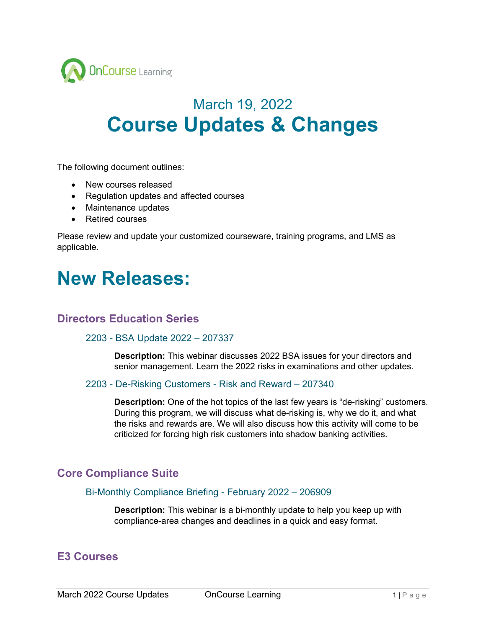

# March 19, 2022 **Course Updates & Changes**

The following document outlines:

- New courses released
- Regulation updates and affected courses
- Maintenance updates
- Retired courses

Please review and update your customized courseware, training programs, and LMS as applicable.

# **New Releases:**

## **Directors Education Series**

### 2203 - BSA Update 2022 – 207337

**Description:** This webinar discusses 2022 BSA issues for your directors and senior management. Learn the 2022 risks in examinations and other updates.

### 2203 - De-Risking Customers - Risk and Reward – 207340

**Description:** One of the hot topics of the last few years is "de-risking" customers. During this program, we will discuss what de-risking is, why we do it, and what the risks and rewards are. We will also discuss how this activity will come to be criticized for forcing high risk customers into shadow banking activities.

## **Core Compliance Suite**

### Bi-Monthly Compliance Briefing - February 2022 – 206909

**Description:** This webinar is a bi-monthly update to help you keep up with compliance-area changes and deadlines in a quick and easy format.

## **E3 Courses**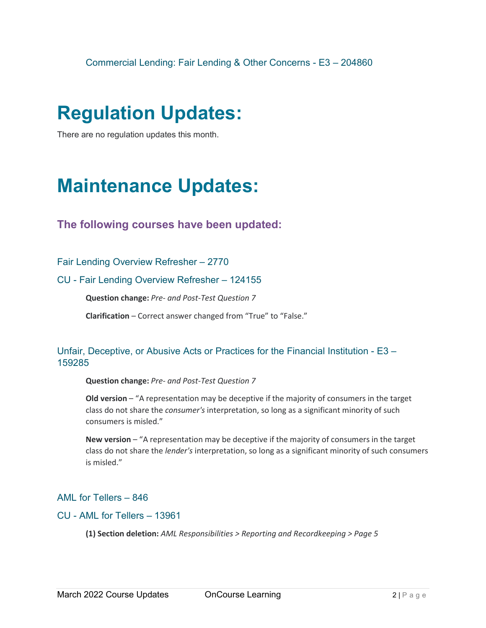# **Regulation Updates:**

There are no regulation updates this month.

# **Maintenance Updates:**

## **The following courses have been updated:**

Fair Lending Overview Refresher – 2770

### CU - Fair Lending Overview Refresher – 124155

**Question change:** *Pre- and Post-Test Question 7* 

**Clarification** – Correct answer changed from "True" to "False."

## Unfair, Deceptive, or Abusive Acts or Practices for the Financial Institution - E3 – 159285

**Question change:** *Pre- and Post-Test Question 7* 

**Old version** – "A representation may be deceptive if the majority of consumers in the target class do not share the *consumer's* interpretation, so long as a significant minority of such consumers is misled."

**New version** – "A representation may be deceptive if the majority of consumers in the target class do not share the *lender's* interpretation, so long as a significant minority of such consumers is misled."

## AML for Tellers – 846

### CU - AML for Tellers – 13961

**(1) Section deletion:** *AML Responsibilities > Reporting and Recordkeeping > Page 5*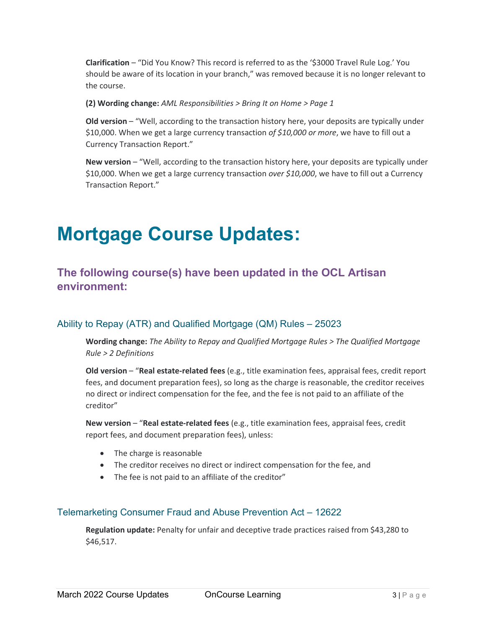**Clarification** – "Did You Know? This record is referred to as the '\$3000 Travel Rule Log.' You should be aware of its location in your branch," was removed because it is no longer relevant to the course.

**(2) Wording change:** *AML Responsibilities > Bring It on Home > Page 1*

**Old version** – "Well, according to the transaction history here, your deposits are typically under \$10,000. When we get a large currency transaction *of \$10,000 or more*, we have to fill out a Currency Transaction Report."

**New version** – "Well, according to the transaction history here, your deposits are typically under \$10,000. When we get a large currency transaction *over \$10,000*, we have to fill out a Currency Transaction Report."

# **Mortgage Course Updates:**

# **The following course(s) have been updated in the OCL Artisan environment:**

## Ability to Repay (ATR) and Qualified Mortgage (QM) Rules – 25023

**Wording change:** *The Ability to Repay and Qualified Mortgage Rules > The Qualified Mortgage Rule > 2 Definitions*

**Old version** – "**Real estate-related fees** (e.g., title examination fees, appraisal fees, credit report fees, and document preparation fees), so long as the charge is reasonable, the creditor receives no direct or indirect compensation for the fee, and the fee is not paid to an affiliate of the creditor"

**New version** – "**Real estate-related fees** (e.g., title examination fees, appraisal fees, credit report fees, and document preparation fees), unless:

- The charge is reasonable
- The creditor receives no direct or indirect compensation for the fee, and
- The fee is not paid to an affiliate of the creditor"

## Telemarketing Consumer Fraud and Abuse Prevention Act – 12622

**Regulation update:** Penalty for unfair and deceptive trade practices raised from \$43,280 to \$46,517.